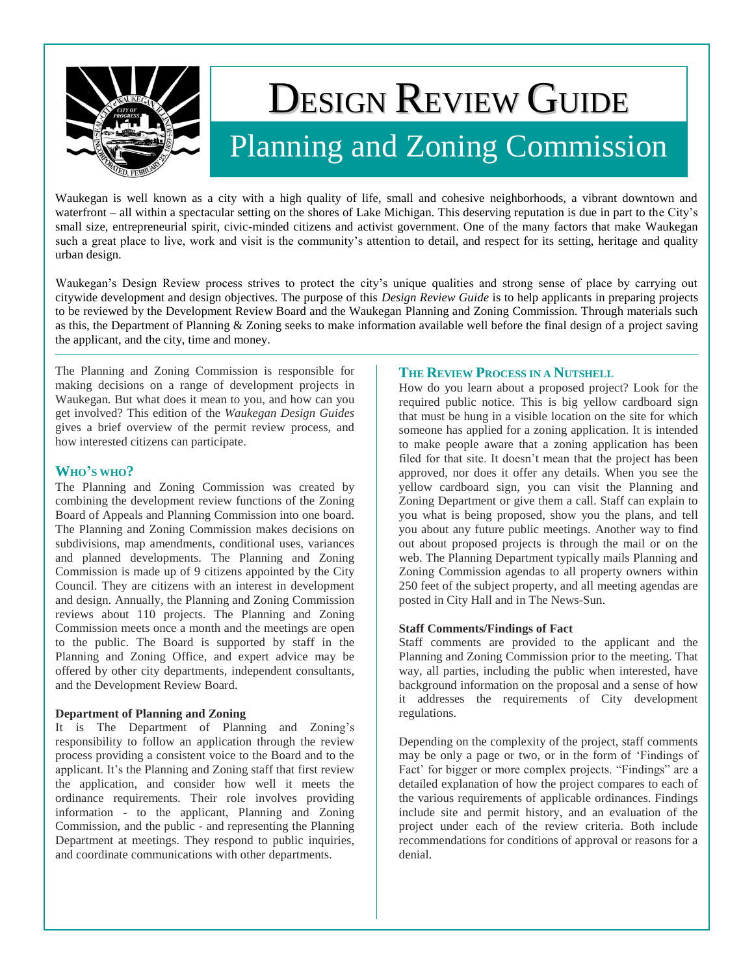

# DESIGN REVIEW GUIDE Planning and Zoning Commission

Waukegan is well known as a city with a high quality of life, small and cohesive neighborhoods, a vibrant downtown and waterfront – all within a spectacular setting on the shores of Lake Michigan. This deserving reputation is due in part to the City's small size, entrepreneurial spirit, civic-minded citizens and activist government. One of the many factors that make Waukegan such a great place to live, work and visit is the community's attention to detail, and respect for its setting, heritage and quality urban design.

Waukegan"s Design Review process strives to protect the city"s unique qualities and strong sense of place by carrying out citywide development and design objectives. The purpose of this *Design Review Guide* is to help applicants in preparing projects to be reviewed by the Development Review Board and the Waukegan Planning and Zoning Commission. Through materials such as this, the Department of Planning & Zoning seeks to make information available well before the final design of a project saving the applicant, and the city, time and money.

The Planning and Zoning Commission is responsible for making decisions on a range of development projects in Waukegan. But what does it mean to you, and how can you get involved? This edition of the *Waukegan Design Guides*  gives a brief overview of the permit review process, and how interested citizens can participate.

# **WHO'S WHO?**

The Planning and Zoning Commission was created by combining the development review functions of the Zoning Board of Appeals and Planning Commission into one board. The Planning and Zoning Commission makes decisions on subdivisions, map amendments, conditional uses, variances and planned developments. The Planning and Zoning Commission is made up of 9 citizens appointed by the City Council. They are citizens with an interest in development and design. Annually, the Planning and Zoning Commission reviews about 110 projects. The Planning and Zoning Commission meets once a month and the meetings are open to the public. The Board is supported by staff in the Planning and Zoning Office, and expert advice may be offered by other city departments, independent consultants, and the Development Review Board.

# **Department of Planning and Zoning**

It is The Department of Planning and Zoning"s responsibility to follow an application through the review process providing a consistent voice to the Board and to the applicant. It's the Planning and Zoning staff that first review the application, and consider how well it meets the ordinance requirements. Their role involves providing information - to the applicant, Planning and Zoning Commission, and the public - and representing the Planning Department at meetings. They respond to public inquiries, and coordinate communications with other departments.

# **THE REVIEW PROCESS IN A NUTSHELL**

How do you learn about a proposed project? Look for the required public notice. This is big yellow cardboard sign that must be hung in a visible location on the site for which someone has applied for a zoning application. It is intended to make people aware that a zoning application has been filed for that site. It doesn"t mean that the project has been approved, nor does it offer any details. When you see the yellow cardboard sign, you can visit the Planning and Zoning Department or give them a call. Staff can explain to you what is being proposed, show you the plans, and tell you about any future public meetings. Another way to find out about proposed projects is through the mail or on the web. The Planning Department typically mails Planning and Zoning Commission agendas to all property owners within 250 feet of the subject property, and all meeting agendas are posted in City Hall and in The News-Sun.

## **Staff Comments/Findings of Fact**

Staff comments are provided to the applicant and the Planning and Zoning Commission prior to the meeting. That way, all parties, including the public when interested, have background information on the proposal and a sense of how it addresses the requirements of City development regulations.

Depending on the complexity of the project, staff comments may be only a page or two, or in the form of "Findings of Fact' for bigger or more complex projects. "Findings" are a detailed explanation of how the project compares to each of the various requirements of applicable ordinances. Findings include site and permit history, and an evaluation of the project under each of the review criteria. Both include recommendations for conditions of approval or reasons for a denial.